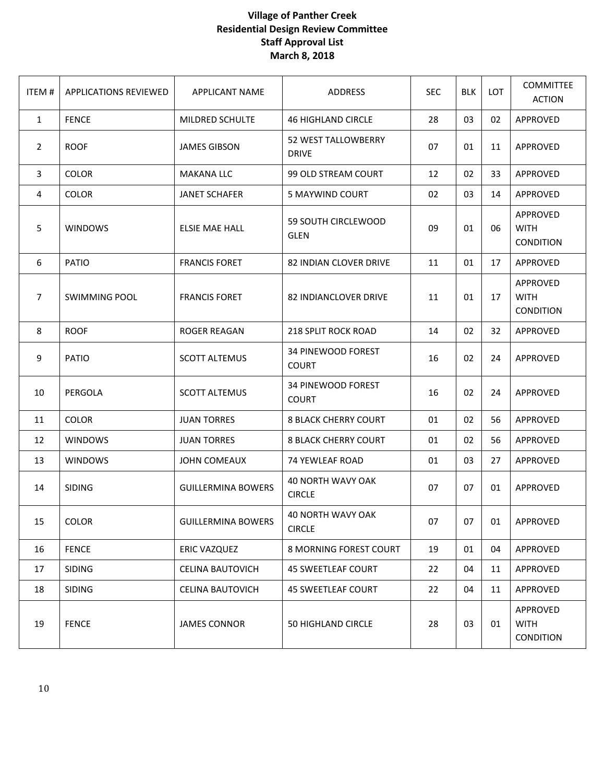## **Village of Panther Creek Residential Design Review Committee Staff Approval List March 8, 2018**

| ITEM# | <b>APPLICATIONS REVIEWED</b> | <b>APPLICANT NAME</b>     | ADDRESS                                   | <b>SEC</b> | <b>BLK</b> | <b>LOT</b> | <b>COMMITTEE</b><br><b>ACTION</b>           |
|-------|------------------------------|---------------------------|-------------------------------------------|------------|------------|------------|---------------------------------------------|
| 1     | <b>FENCE</b>                 | MILDRED SCHULTE           | <b>46 HIGHLAND CIRCLE</b>                 | 28         | 03         | 02         | APPROVED                                    |
| 2     | <b>ROOF</b>                  | <b>JAMES GIBSON</b>       | 52 WEST TALLOWBERRY<br><b>DRIVE</b>       | 07         | 01         | 11         | APPROVED                                    |
| 3     | <b>COLOR</b>                 | <b>MAKANA LLC</b>         | 99 OLD STREAM COURT                       | 12         | 02         | 33         | APPROVED                                    |
| 4     | <b>COLOR</b>                 | <b>JANET SCHAFER</b>      | 5 MAYWIND COURT                           | 02         | 03         | 14         | APPROVED                                    |
| 5     | <b>WINDOWS</b>               | <b>ELSIE MAE HALL</b>     | 59 SOUTH CIRCLEWOOD<br><b>GLEN</b>        | 09         | 01         | 06         | APPROVED<br><b>WITH</b><br><b>CONDITION</b> |
| 6     | PATIO                        | <b>FRANCIS FORET</b>      | 82 INDIAN CLOVER DRIVE                    | 11         | 01         | 17         | APPROVED                                    |
| 7     | <b>SWIMMING POOL</b>         | <b>FRANCIS FORET</b>      | <b>82 INDIANCLOVER DRIVE</b>              | 11         | 01         | 17         | APPROVED<br><b>WITH</b><br><b>CONDITION</b> |
| 8     | <b>ROOF</b>                  | <b>ROGER REAGAN</b>       | 218 SPLIT ROCK ROAD                       | 14         | 02         | 32         | APPROVED                                    |
| 9     | PATIO                        | <b>SCOTT ALTEMUS</b>      | <b>34 PINEWOOD FOREST</b><br><b>COURT</b> | 16         | 02         | 24         | APPROVED                                    |
| 10    | PERGOLA                      | <b>SCOTT ALTEMUS</b>      | 34 PINEWOOD FOREST<br><b>COURT</b>        | 16         | 02         | 24         | APPROVED                                    |
| 11    | <b>COLOR</b>                 | <b>JUAN TORRES</b>        | <b>8 BLACK CHERRY COURT</b>               | 01         | 02         | 56         | APPROVED                                    |
| 12    | <b>WINDOWS</b>               | <b>JUAN TORRES</b>        | <b>8 BLACK CHERRY COURT</b>               | 01         | 02         | 56         | APPROVED                                    |
| 13    | <b>WINDOWS</b>               | <b>JOHN COMEAUX</b>       | 74 YEWLEAF ROAD                           | 01         | 03         | 27         | APPROVED                                    |
| 14    | <b>SIDING</b>                | <b>GUILLERMINA BOWERS</b> | <b>40 NORTH WAVY OAK</b><br><b>CIRCLE</b> | 07         | 07         | 01         | APPROVED                                    |
| 15    | <b>COLOR</b>                 | <b>GUILLERMINA BOWERS</b> | 40 NORTH WAVY OAK<br><b>CIRCLE</b>        | 07         | 07         | 01         | APPROVED                                    |
| 16    | <b>FENCE</b>                 | ERIC VAZQUEZ              | 8 MORNING FOREST COURT                    | 19         | 01         | 04         | APPROVED                                    |
| 17    | <b>SIDING</b>                | <b>CELINA BAUTOVICH</b>   | <b>45 SWEETLEAF COURT</b>                 | 22         | 04         | 11         | APPROVED                                    |
| 18    | <b>SIDING</b>                | <b>CELINA BAUTOVICH</b>   | <b>45 SWEETLEAF COURT</b>                 | 22         | 04         | 11         | APPROVED                                    |
| 19    | <b>FENCE</b>                 | <b>JAMES CONNOR</b>       | <b>50 HIGHLAND CIRCLE</b>                 | 28         | 03         | 01         | APPROVED<br><b>WITH</b><br><b>CONDITION</b> |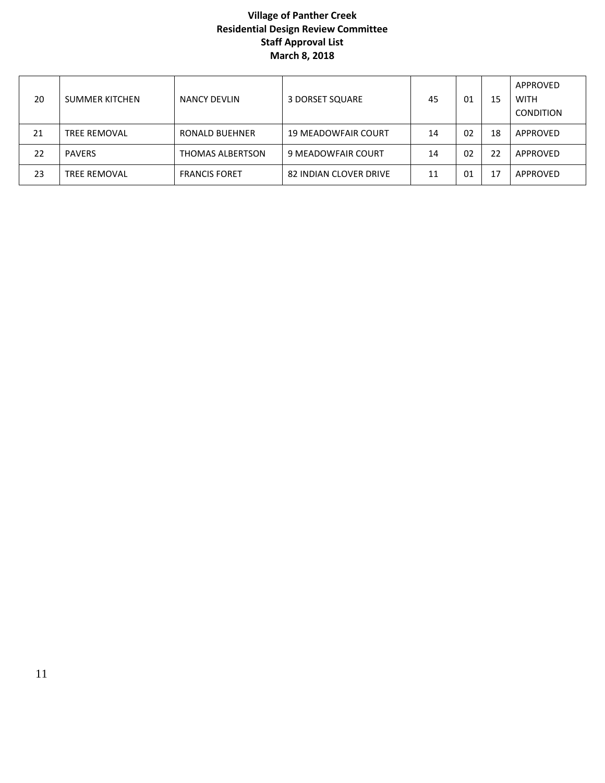## **Village of Panther Creek Residential Design Review Committee Staff Approval List March 8, 2018**

| 20 | <b>SUMMER KITCHEN</b> | NANCY DEVLIN         | 3 DORSET SQUARE            | 45 | 01 | 15 | APPROVED<br><b>WITH</b><br><b>CONDITION</b> |
|----|-----------------------|----------------------|----------------------------|----|----|----|---------------------------------------------|
| 21 | <b>TREE REMOVAL</b>   | RONALD BUEHNER       | <b>19 MEADOWFAIR COURT</b> | 14 | 02 | 18 | APPROVED                                    |
| 22 | <b>PAVERS</b>         | THOMAS ALBERTSON     | 9 MEADOWFAIR COURT         | 14 | 02 | 22 | APPROVED                                    |
| 23 | <b>TREE REMOVAL</b>   | <b>FRANCIS FORET</b> | 82 INDIAN CLOVER DRIVE     | 11 | 01 | 17 | APPROVED                                    |